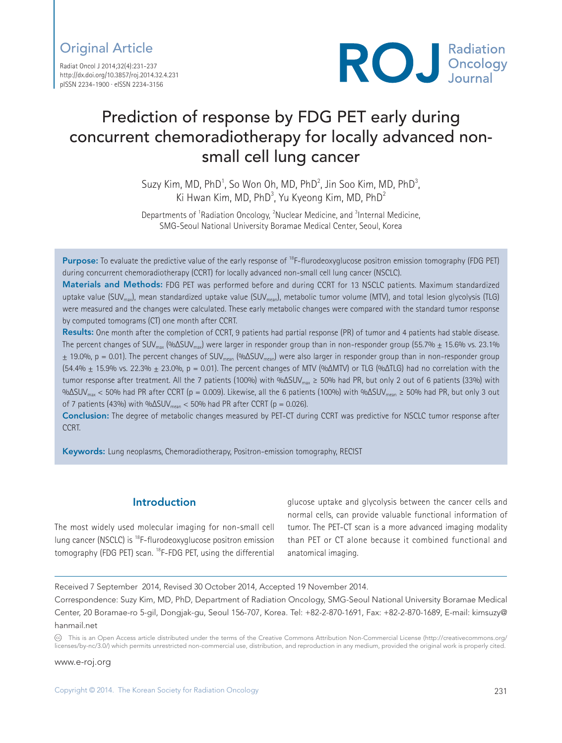## Original Article

Radiat Oncol J 2014;32(4):231-237 http://dx.doi.org/10.3857/roj.2014.32.4.231 pISSN 2234-1900 · eISSN 2234-3156



# Prediction of response by FDG PET early during concurrent chemoradiotherapy for locally advanced nonsmall cell lung cancer

Suzy Kim, MD, PhD<sup>1</sup>, So Won Oh, MD, PhD<sup>2</sup>, Jin Soo Kim, MD, PhD<sup>3</sup>, Ki Hwan Kim, MD, PhD<sup>3</sup>, Yu Kyeong Kim, MD, PhD<sup>2</sup>

Departments of <sup>1</sup>Radiation Oncology, <sup>2</sup>Nuclear Medicine, and <sup>3</sup>Internal Medicine, SMG-Seoul National University Boramae Medical Center, Seoul, Korea

Purpose: To evaluate the predictive value of the early response of <sup>18</sup>F-flurodeoxyglucose positron emission tomography (FDG PET) during concurrent chemoradiotherapy (CCRT) for locally advanced non-small cell lung cancer (NSCLC).

Materials and Methods: FDG PET was performed before and during CCRT for 13 NSCLC patients. Maximum standardized uptake value (SUV<sub>max</sub>), mean standardized uptake value (SUV<sub>mean</sub>), metabolic tumor volume (MTV), and total lesion glycolysis (TLG) were measured and the changes were calculated. These early metabolic changes were compared with the standard tumor response by computed tomograms (CT) one month after CCRT.

Results: One month after the completion of CCRT, 9 patients had partial response (PR) of tumor and 4 patients had stable disease. The percent changes of SUV<sub>max</sub> (%ΔSUV<sub>max</sub>) were larger in responder group than in non-responder group (55.7%  $\pm$  15.6% vs. 23.1%  $\pm$  19.0%, p = 0.01). The percent changes of SUV<sub>mean</sub> (% $\Delta$ SUV<sub>mean</sub>) were also larger in responder group than in non-responder group (54.4% ± 15.9% vs. 22.3% ± 23.0%, p = 0.01). The percent changes of MTV (%ΔMTV) or TLG (%ΔTLG) had no correlation with the tumor response after treatment. All the 7 patients (100%) with %ΔSUV<sub>max</sub> ≥ 50% had PR, but only 2 out of 6 patients (33%) with %ΔSUV<sub>max</sub> < 50% had PR after CCRT (p = 0.009). Likewise, all the 6 patients (100%) with %ΔSUV<sub>mean</sub> ≥ 50% had PR, but only 3 out of 7 patients (43%) with %ΔSUV $_{mean}$  < 50% had PR after CCRT (p = 0.026).

Conclusion: The degree of metabolic changes measured by PET-CT during CCRT was predictive for NSCLC tumor response after CCRT.

Keywords: Lung neoplasms, Chemoradiotherapy, Positron-emission tomography, RECIST

## Introduction

The most widely used molecular imaging for non-small cell lung cancer (NSCLC) is 18F-flurodeoxyglucose positron emission tomography (FDG PET) scan. <sup>18</sup>F-FDG PET, using the differential

glucose uptake and glycolysis between the cancer cells and normal cells, can provide valuable functional information of tumor. The PET-CT scan is a more advanced imaging modality than PET or CT alone because it combined functional and anatomical imaging.

Received 7 September 2014, Revised 30 October 2014, Accepted 19 November 2014.

Correspondence: Suzy Kim, MD, PhD, Department of Radiation Oncology, SMG-Seoul National University Boramae Medical Center, 20 Boramae-ro 5-gil, Dongjak-gu, Seoul 156-707, Korea. Tel: +82-2-870-1691, Fax: +82-2-870-1689, E-mail: kimsuzy@ hanmail.net

CC This is an Open Access article distributed under the terms of the Creative Commons Attribution Non-Commercial License (http://creativecommons.org/ licenses/by-nc/3.0/) which permits unrestricted non-commercial use, distribution, and reproduction in any medium, provided the original work is properly cited.

www.e-roj.org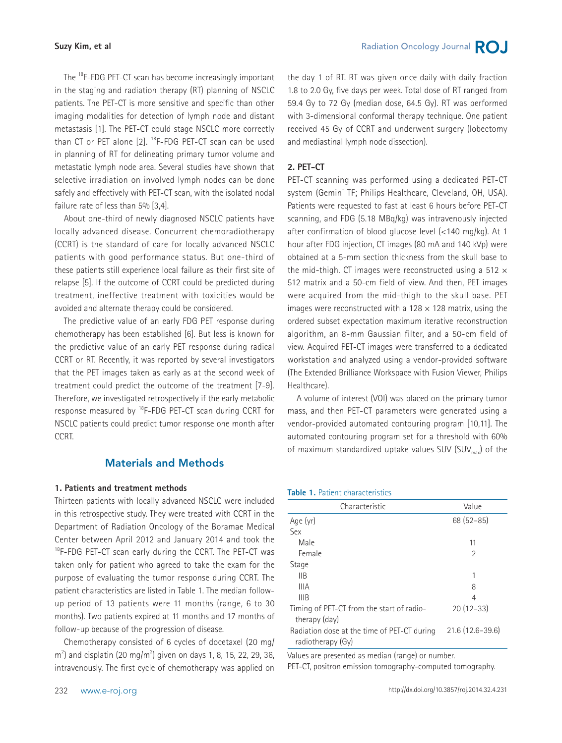The <sup>18</sup>F-FDG PET-CT scan has become increasingly important in the staging and radiation therapy (RT) planning of NSCLC patients. The PET-CT is more sensitive and specific than other imaging modalities for detection of lymph node and distant metastasis [1]. The PET-CT could stage NSCLC more correctly than CT or PET alone  $[2]$ .  $^{18}$ F-FDG PET-CT scan can be used in planning of RT for delineating primary tumor volume and metastatic lymph node area. Several studies have shown that selective irradiation on involved lymph nodes can be done safely and effectively with PET-CT scan, with the isolated nodal failure rate of less than 5% [3,4].

About one-third of newly diagnosed NSCLC patients have locally advanced disease. Concurrent chemoradiotherapy (CCRT) is the standard of care for locally advanced NSCLC patients with good performance status. But one-third of these patients still experience local failure as their first site of relapse [5]. If the outcome of CCRT could be predicted during treatment, ineffective treatment with toxicities would be avoided and alternate therapy could be considered.

The predictive value of an early FDG PET response during chemotherapy has been established [6]. But less is known for the predictive value of an early PET response during radical CCRT or RT. Recently, it was reported by several investigators that the PET images taken as early as at the second week of treatment could predict the outcome of the treatment [7-9]. Therefore, we investigated retrospectively if the early metabolic response measured by 18F-FDG PET-CT scan during CCRT for NSCLC patients could predict tumor response one month after CCRT.

## Materials and Methods

#### **1. Patients and treatment methods**

Thirteen patients with locally advanced NSCLC were included in this retrospective study. They were treated with CCRT in the Department of Radiation Oncology of the Boramae Medical Center between April 2012 and January 2014 and took the <sup>18</sup>F-FDG PET-CT scan early during the CCRT. The PET-CT was taken only for patient who agreed to take the exam for the purpose of evaluating the tumor response during CCRT. The patient characteristics are listed in Table 1. The median followup period of 13 patients were 11 months (range, 6 to 30 months). Two patients expired at 11 months and 17 months of follow-up because of the progression of disease.

Chemotherapy consisted of 6 cycles of docetaxel (20 mg/  $m<sup>2</sup>$ ) and cisplatin (20 mg/m<sup>2</sup>) given on days 1, 8, 15, 22, 29, 36, intravenously. The first cycle of chemotherapy was applied on

the day 1 of RT. RT was given once daily with daily fraction 1.8 to 2.0 Gy, five days per week. Total dose of RT ranged from 59.4 Gy to 72 Gy (median dose, 64.5 Gy). RT was performed with 3-dimensional conformal therapy technique. One patient received 45 Gy of CCRT and underwent surgery (lobectomy and mediastinal lymph node dissection).

#### **2. PET-CT**

PET-CT scanning was performed using a dedicated PET-CT system (Gemini TF; Philips Healthcare, Cleveland, OH, USA). Patients were requested to fast at least 6 hours before PET-CT scanning, and FDG (5.18 MBq/kg) was intravenously injected after confirmation of blood glucose level (<140 mg/kg). At 1 hour after FDG injection, CT images (80 mA and 140 kVp) were obtained at a 5-mm section thickness from the skull base to the mid-thigh. CT images were reconstructed using a 512  $\times$ 512 matrix and a 50-cm field of view. And then, PET images were acquired from the mid-thigh to the skull base. PET images were reconstructed with a 128  $\times$  128 matrix, using the ordered subset expectation maximum iterative reconstruction algorithm, an 8-mm Gaussian filter, and a 50-cm field of view. Acquired PET-CT images were transferred to a dedicated workstation and analyzed using a vendor-provided software (The Extended Brilliance Workspace with Fusion Viewer, Philips Healthcare).

A volume of interest (VOI) was placed on the primary tumor mass, and then PET-CT parameters were generated using a vendor-provided automated contouring program [10,11]. The automated contouring program set for a threshold with 60% of maximum standardized uptake values SUV (SUV $_{\text{max}}$ ) of the

#### **Table 1.** Patient characteristics

| Characteristic                                                   | Value             |
|------------------------------------------------------------------|-------------------|
| Age (yr)                                                         | $68(52-85)$       |
| Sex                                                              |                   |
| Male                                                             | 11                |
| Female                                                           | 2                 |
| Stage                                                            |                   |
| IIB                                                              | 1                 |
| <b>IIIA</b>                                                      | 8                 |
| IIIB                                                             | 4                 |
| Timing of PET-CT from the start of radio-<br>therapy (day)       | $20(12-33)$       |
| Radiation dose at the time of PET-CT during<br>radiotherapy (Gy) | $21.6(12.6-39.6)$ |

Values are presented as median (range) or number.

PET-CT, positron emission tomography-computed tomography.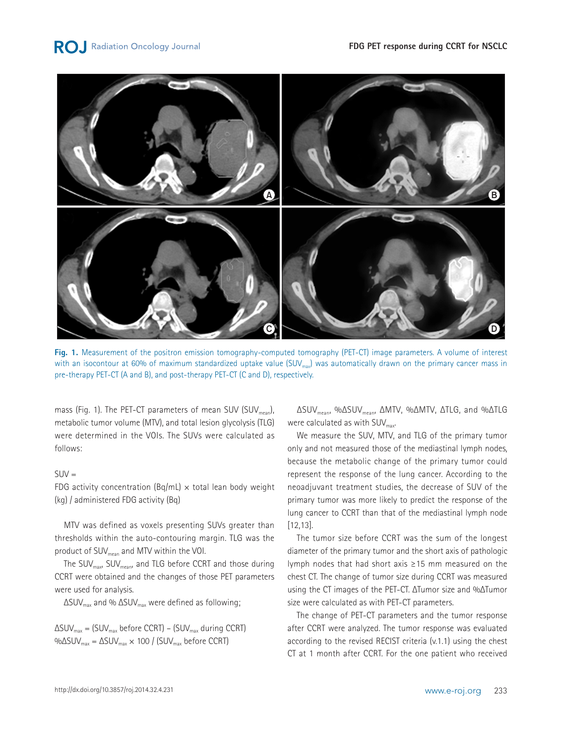

**Fig. 1.** Measurement of the positron emission tomography-computed tomography (PET-CT) image parameters. A volume of interest with an isocontour at 60% of maximum standardized uptake value  $(SUV_{max})$  was automatically drawn on the primary cancer mass in pre-therapy PET-CT (A and B), and post-therapy PET-CT (C and D), respectively.

mass (Fig. 1). The PET-CT parameters of mean SUV (SUV $_{mean}$ ), metabolic tumor volume (MTV), and total lesion glycolysis (TLG) were determined in the VOIs. The SUVs were calculated as follows:

#### $SIN =$

FDG activity concentration (Bq/mL)  $\times$  total lean body weight (kg) / administered FDG activity (Bq)

MTV was defined as voxels presenting SUVs greater than thresholds within the auto-contouring margin. TLG was the product of SUV<sub>mean</sub> and MTV within the VOI.

The SUV<sub>max</sub>, SUV<sub>mean</sub>, and TLG before CCRT and those during CCRT were obtained and the changes of those PET parameters were used for analysis.

 $\Delta$ SUV<sub>max</sub> and %  $\Delta$ SUV<sub>max</sub> were defined as following;

 $\Delta$ SUV<sub>max</sub> = (SUV<sub>max</sub> before CCRT) – (SUV<sub>max</sub> during CCRT)  $\%$ ΔSUV<sub>max</sub> = ΔSUV<sub>max</sub> × 100 / (SUV<sub>max</sub> before CCRT)

ΔSUVmean, %ΔSUVmean, ΔMTV, %ΔMTV, ΔTLG, and %ΔTLG were calculated as with  $\text{SUV}_{\text{max}}$ .

We measure the SUV, MTV, and TLG of the primary tumor only and not measured those of the mediastinal lymph nodes, because the metabolic change of the primary tumor could represent the response of the lung cancer. According to the neoadjuvant treatment studies, the decrease of SUV of the primary tumor was more likely to predict the response of the lung cancer to CCRT than that of the mediastinal lymph node [12,13].

The tumor size before CCRT was the sum of the longest diameter of the primary tumor and the short axis of pathologic lymph nodes that had short axis ≥15 mm measured on the chest CT. The change of tumor size during CCRT was measured using the CT images of the PET-CT. ΔTumor size and %ΔTumor size were calculated as with PET-CT parameters.

The change of PET-CT parameters and the tumor response after CCRT were analyzed. The tumor response was evaluated according to the revised RECIST criteria (v.1.1) using the chest CT at 1 month after CCRT. For the one patient who received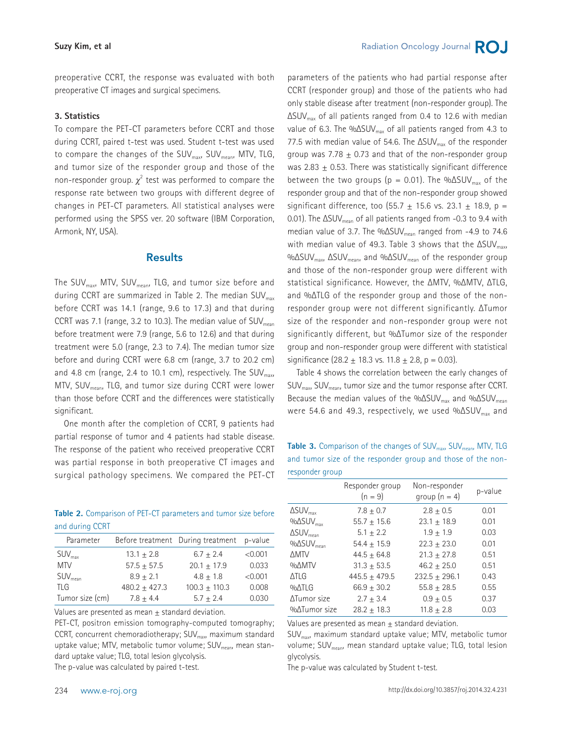Radiation Oncology Journal **RO** 

preoperative CCRT, the response was evaluated with both preoperative CT images and surgical specimens.

#### **3. Statistics**

To compare the PET-CT parameters before CCRT and those during CCRT, paired t-test was used. Student t-test was used to compare the changes of the SUV<sub>max</sub>, SUV<sub>mean</sub>, MTV, TLG, and tumor size of the responder group and those of the non-responder group.  $\chi^2$  test was performed to compare the response rate between two groups with different degree of changes in PET-CT parameters. All statistical analyses were performed using the SPSS ver. 20 software (IBM Corporation, Armonk, NY, USA).

#### Results

The SUV<sub>max</sub>, MTV, SUV<sub>mean</sub>, TLG, and tumor size before and during CCRT are summarized in Table 2. The median  $SUV_{\text{max}}$ before CCRT was 14.1 (range, 9.6 to 17.3) and that during CCRT was 7.1 (range, 3.2 to 10.3). The median value of  $\text{SUV}_{\text{mean}}$ before treatment were 7.9 (range, 5.6 to 12.6) and that during treatment were 5.0 (range, 2.3 to 7.4). The median tumor size before and during CCRT were 6.8 cm (range, 3.7 to 20.2 cm) and 4.8 cm (range, 2.4 to 10.1 cm), respectively. The SUV $_{\text{max}}$ MTV, SUVmean, TLG, and tumor size during CCRT were lower than those before CCRT and the differences were statistically significant.

One month after the completion of CCRT, 9 patients had partial response of tumor and 4 patients had stable disease. The response of the patient who received preoperative CCRT was partial response in both preoperative CT images and surgical pathology specimens. We compared the PET-CT

**Table 2.** Comparison of PET-CT parameters and tumor size before and during CCRT

| Parameter           |                   | Before treatment During treatment p-value |         |
|---------------------|-------------------|-------------------------------------------|---------|
| $SUV_{\text{max}}$  | $13.1 \pm 2.8$    | $6.7 + 2.4$                               | < 0.001 |
| <b>MTV</b>          | $57.5 \pm 57.5$   | $20.1 \pm 17.9$                           | 0.033   |
| SUV <sub>mean</sub> | $8.9 + 2.1$       | $4.8 + 1.8$                               | < 0.001 |
| <b>TLG</b>          | $480.2 \pm 427.3$ | $100.3 \pm 110.3$                         | 0.008   |
| Tumor size (cm)     | $7.8 + 4.4$       | $5.7 + 2.4$                               | 0.030   |

Values are presented as mean  $\pm$  standard deviation.

PET-CT, positron emission tomography-computed tomography; CCRT, concurrent chemoradiotherapy;  $SUV<sub>max</sub>$ , maximum standard uptake value; MTV, metabolic tumor volume; SUV<sub>mean</sub>, mean standard uptake value; TLG, total lesion glycolysis. The p-value was calculated by paired t-test.

parameters of the patients who had partial response after CCRT (responder group) and those of the patients who had only stable disease after treatment (non-responder group). The  $\Delta$ SUV<sub>max</sub> of all patients ranged from 0.4 to 12.6 with median value of 6.3. The %ΔSUV<sub>max</sub> of all patients ranged from 4.3 to 77.5 with median value of 54.6. The  $\Delta$ SUV<sub>max</sub> of the responder group was 7.78  $\pm$  0.73 and that of the non-responder group was  $2.83 + 0.53$ . There was statistically significant difference between the two groups ( $p = 0.01$ ). The % $\Delta$ SUV<sub>max</sub> of the responder group and that of the non-responder group showed significant difference, too (55.7  $\pm$  15.6 vs. 23.1  $\pm$  18.9, p = 0.01). The  $\Delta$ SUV<sub>mean</sub> of all patients ranged from -0.3 to 9.4 with median value of 3.7. The %ΔSUV<sub>mean</sub> ranged from -4.9 to 74.6 with median value of 49.3. Table 3 shows that the  $\Delta$ SUV<sub>max</sub>, %ΔSUV<sub>max</sub>, ΔSUV<sub>mean</sub>, and %ΔSUV<sub>mean</sub> of the responder group and those of the non-responder group were different with statistical significance. However, the ΔMTV, %ΔMTV, ΔTLG, and %ΔTLG of the responder group and those of the nonresponder group were not different significantly. ΔTumor size of the responder and non-responder group were not significantly different, but %ΔTumor size of the responder group and non-responder group were different with statistical significance  $(28.2 + 18.3 \text{ vs. } 11.8 + 2.8, \text{ p} = 0.03)$ .

Table 4 shows the correlation between the early changes of  $SUV_{max}$ ,  $SUV_{mean}$ , tumor size and the tumor response after CCRT. Because the median values of the %ΔSUV<sub>max</sub> and %ΔSUV<sub>mean</sub> were 54.6 and 49.3, respectively, we used % $\Delta$ SUV<sub>max</sub> and

**Table 3.** Comparison of the changes of SUV<sub>max</sub>, SUV<sub>mean</sub>, MTV, TLG and tumor size of the responder group and those of the nonresponder group

|                                   | Responder group<br>$(n = 9)$ | Non-responder<br>group $(n = 4)$ | p-value |
|-----------------------------------|------------------------------|----------------------------------|---------|
| $\Delta$ SUV $_{\text{max}}$      | $7.8 + 0.7$                  | $2.8 + 0.5$                      | 0.01    |
| $\%$ $\Delta$ SUV <sub>max</sub>  | $55.7 + 15.6$                | $23.1 + 18.9$                    | 0.01    |
| $\Delta$ SUV <sub>mean</sub>      | $5.1 + 2.2$                  | $1.9 + 1.9$                      | 0.03    |
| $\%$ $\Delta$ SUV <sub>mean</sub> | $54.4 + 15.9$                | $22.3 \pm 23.0$                  | 0.01    |
| <b>AMTV</b>                       | $44.5 + 64.8$                | $21.3 + 27.8$                    | 0.51    |
| %∆MTV                             | $31.3 + 53.5$                | $46.2 + 25.0$                    | 0.51    |
| <b>ATLG</b>                       | $445.5 + 479.5$              | $232.5 \pm 296.1$                | 0.43    |
| $9/0$ $ATLG$                      | $66.9 + 30.2$                | $55.8 + 28.5$                    | 0.55    |
| ATumor size                       | $2.7 + 3.4$                  | $0.9 + 0.5$                      | 0.37    |
| %ATumor size                      | $28.2 + 18.3$                | $11.8 + 2.8$                     | 0.03    |

Values are presented as mean  $\pm$  standard deviation.

SUVmax, maximum standard uptake value; MTV, metabolic tumor volume; SUV<sub>mean</sub>, mean standard uptake value; TLG, total lesion glycolysis.

The p-value was calculated by Student t-test.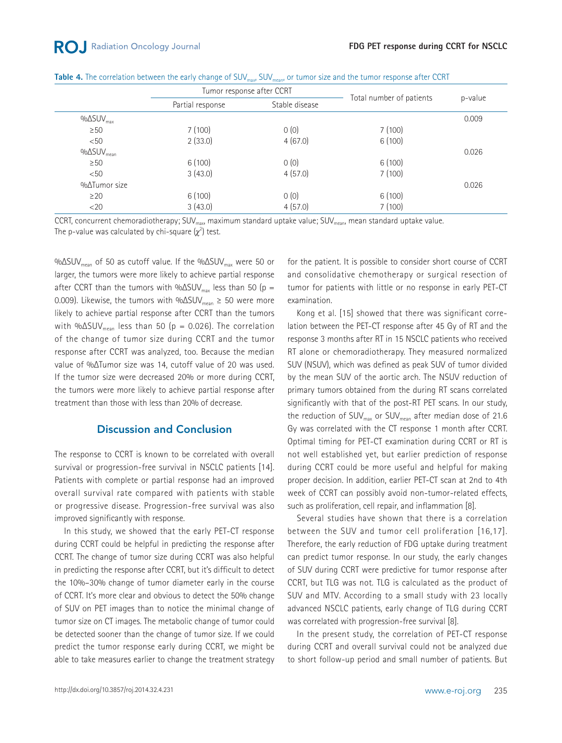|  |  |  |  |  |  | Table 4. The correlation between the early change of SUV $_{max}$ SUV $_{mean}$ , or tumor size and the tumor response after CCRT |  |
|--|--|--|--|--|--|-----------------------------------------------------------------------------------------------------------------------------------|--|
|--|--|--|--|--|--|-----------------------------------------------------------------------------------------------------------------------------------|--|

|                                   | Tumor response after CCRT |                |                          |         |
|-----------------------------------|---------------------------|----------------|--------------------------|---------|
|                                   | Partial response          | Stable disease | Total number of patients | p-value |
| $\%$ $\Delta$ SUV <sub>max</sub>  |                           |                |                          | 0.009   |
| $\geq 50$                         | 7(100)                    | 0(0)           | 7(100)                   |         |
| < 50                              | 2(33.0)                   | 4(67.0)        | 6(100)                   |         |
| $\%$ $\Delta$ SUV <sub>mean</sub> |                           |                |                          | 0.026   |
| $\geq$ 50                         | 6(100)                    | 0(0)           | 6(100)                   |         |
| < 50                              | 3(43.0)                   | 4(57.0)        | 7(100)                   |         |
| $% \triangle Tumor size$          |                           |                |                          | 0.026   |
| $\geq$ 20                         | 6(100)                    | 0(0)           | 6(100)                   |         |
| $<$ 20                            | 3(43.0)                   | 4(57.0)        | 7(100)                   |         |

CCRT, concurrent chemoradiotherapy; SUV<sub>max</sub>, maximum standard uptake value; SUV<sub>mean</sub>, mean standard uptake value. The p-value was calculated by chi-square  $(\chi^2)$  test.

%ΔSUV<sub>mean</sub> of 50 as cutoff value. If the %ΔSUV<sub>max</sub> were 50 or larger, the tumors were more likely to achieve partial response after CCRT than the tumors with % $\Delta$ SUV<sub>max</sub> less than 50 (p = 0.009). Likewise, the tumors with %ΔSUV<sub>mean</sub>  $\geq$  50 were more likely to achieve partial response after CCRT than the tumors with % $\Delta$ SUV<sub>mean</sub> less than 50 (p = 0.026). The correlation of the change of tumor size during CCRT and the tumor response after CCRT was analyzed, too. Because the median value of %ΔTumor size was 14, cutoff value of 20 was used. If the tumor size were decreased 20% or more during CCRT, the tumors were more likely to achieve partial response after treatment than those with less than 20% of decrease.

### Discussion and Conclusion

The response to CCRT is known to be correlated with overall survival or progression-free survival in NSCLC patients [14]. Patients with complete or partial response had an improved overall survival rate compared with patients with stable or progressive disease. Progression-free survival was also improved significantly with response.

In this study, we showed that the early PET-CT response during CCRT could be helpful in predicting the response after CCRT. The change of tumor size during CCRT was also helpful in predicting the response after CCRT, but it's difficult to detect the 10%–30% change of tumor diameter early in the course of CCRT. It's more clear and obvious to detect the 50% change of SUV on PET images than to notice the minimal change of tumor size on CT images. The metabolic change of tumor could be detected sooner than the change of tumor size. If we could predict the tumor response early during CCRT, we might be able to take measures earlier to change the treatment strategy

for the patient. It is possible to consider short course of CCRT and consolidative chemotherapy or surgical resection of tumor for patients with little or no response in early PET-CT examination.

Kong et al. [15] showed that there was significant correlation between the PET-CT response after 45 Gy of RT and the response 3 months after RT in 15 NSCLC patients who received RT alone or chemoradiotherapy. They measured normalized SUV (NSUV), which was defined as peak SUV of tumor divided by the mean SUV of the aortic arch. The NSUV reduction of primary tumors obtained from the during RT scans correlated significantly with that of the post-RT PET scans. In our study, the reduction of  $SUV_{max}$  or  $SUV_{mean}$  after median dose of 21.6 Gy was correlated with the CT response 1 month after CCRT. Optimal timing for PET-CT examination during CCRT or RT is not well established yet, but earlier prediction of response during CCRT could be more useful and helpful for making proper decision. In addition, earlier PET-CT scan at 2nd to 4th week of CCRT can possibly avoid non-tumor-related effects, such as proliferation, cell repair, and inflammation [8].

Several studies have shown that there is a correlation between the SUV and tumor cell proliferation [16,17]. Therefore, the early reduction of FDG uptake during treatment can predict tumor response. In our study, the early changes of SUV during CCRT were predictive for tumor response after CCRT, but TLG was not. TLG is calculated as the product of SUV and MTV. According to a small study with 23 locally advanced NSCLC patients, early change of TLG during CCRT was correlated with progression-free survival [8].

In the present study, the correlation of PET-CT response during CCRT and overall survival could not be analyzed due to short follow-up period and small number of patients. But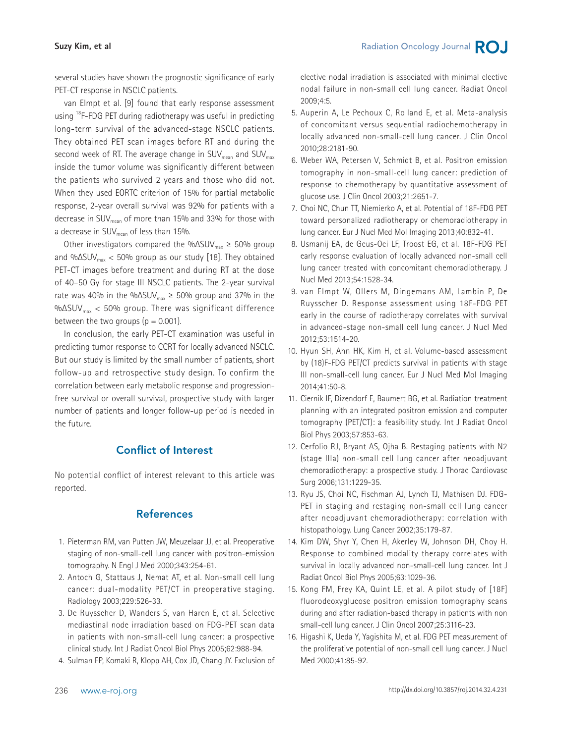several studies have shown the prognostic significance of early PET-CT response in NSCLC patients.

van Elmpt et al. [9] found that early response assessment using <sup>18</sup>F-FDG PET during radiotherapy was useful in predicting long-term survival of the advanced-stage NSCLC patients. They obtained PET scan images before RT and during the second week of RT. The average change in  $\text{SUV}_{\text{mean}}$  and  $\text{SUV}_{\text{max}}$ inside the tumor volume was significantly different between the patients who survived 2 years and those who did not. When they used EORTC criterion of 15% for partial metabolic response, 2-year overall survival was 92% for patients with a decrease in SUV<sub>mean</sub> of more than 15% and 33% for those with a decrease in SUV<sub>mean</sub> of less than 15%.

Other investigators compared the % $\Delta$ SUV<sub>max</sub>  $\geq$  50% group and % $\Delta$ SUV<sub>max</sub> < 50% group as our study [18]. They obtained PET-CT images before treatment and during RT at the dose of 40–50 Gy for stage III NSCLC patients. The 2-year survival rate was 40% in the % $\Delta$ SUV<sub>max</sub>  $\geq$  50% group and 37% in the %ΔSUV $_{\text{max}}$  < 50% group. There was significant difference between the two groups  $(p = 0.001)$ .

In conclusion, the early PET-CT examination was useful in predicting tumor response to CCRT for locally advanced NSCLC. But our study is limited by the small number of patients, short follow-up and retrospective study design. To confirm the correlation between early metabolic response and progressionfree survival or overall survival, prospective study with larger number of patients and longer follow-up period is needed in the future.

## Conflict of Interest

No potential conflict of interest relevant to this article was reported.

## References

- 1. Pieterman RM, van Putten JW, Meuzelaar JJ, et al. Preoperative staging of non-small-cell lung cancer with positron-emission tomography. N Engl J Med 2000;343:254-61.
- 2. Antoch G, Stattaus J, Nemat AT, et al. Non-small cell lung cancer: dual-modality PET/CT in preoperative staging. Radiology 2003;229:526-33.
- 3. De Ruysscher D, Wanders S, van Haren E, et al. Selective mediastinal node irradiation based on FDG-PET scan data in patients with non-small-cell lung cancer: a prospective clinical study. Int J Radiat Oncol Biol Phys 2005;62:988-94.
- 4. Sulman EP, Komaki R, Klopp AH, Cox JD, Chang JY. Exclusion of

elective nodal irradiation is associated with minimal elective nodal failure in non-small cell lung cancer. Radiat Oncol 2009;4:5.

- 5. Auperin A, Le Pechoux C, Rolland E, et al. Meta-analysis of concomitant versus sequential radiochemotherapy in locally advanced non-small-cell lung cancer. J Clin Oncol 2010;28:2181-90.
- 6. Weber WA, Petersen V, Schmidt B, et al. Positron emission tomography in non-small-cell lung cancer: prediction of response to chemotherapy by quantitative assessment of glucose use. J Clin Oncol 2003;21:2651-7.
- 7. Choi NC, Chun TT, Niemierko A, et al. Potential of 18F-FDG PET toward personalized radiotherapy or chemoradiotherapy in lung cancer. Eur J Nucl Med Mol Imaging 2013;40:832-41.
- 8. Usmanij EA, de Geus-Oei LF, Troost EG, et al. 18F-FDG PET early response evaluation of locally advanced non-small cell lung cancer treated with concomitant chemoradiotherapy. J Nucl Med 2013;54:1528-34.
- 9. van Elmpt W, Ollers M, Dingemans AM, Lambin P, De Ruysscher D. Response assessment using 18F-FDG PET early in the course of radiotherapy correlates with survival in advanced-stage non-small cell lung cancer. J Nucl Med 2012;53:1514-20.
- 10. Hyun SH, Ahn HK, Kim H, et al. Volume-based assessment by (18)F-FDG PET/CT predicts survival in patients with stage III non-small-cell lung cancer. Eur J Nucl Med Mol Imaging 2014;41:50-8.
- 11. Ciernik IF, Dizendorf E, Baumert BG, et al. Radiation treatment planning with an integrated positron emission and computer tomography (PET/CT): a feasibility study. Int J Radiat Oncol Biol Phys 2003;57:853-63.
- 12. Cerfolio RJ, Bryant AS, Ojha B. Restaging patients with N2 (stage IIIa) non-small cell lung cancer after neoadjuvant chemoradiotherapy: a prospective study. J Thorac Cardiovasc Surg 2006;131:1229-35.
- 13. Ryu JS, Choi NC, Fischman AJ, Lynch TJ, Mathisen DJ. FDG-PET in staging and restaging non-small cell lung cancer after neoadjuvant chemoradiotherapy: correlation with histopathology. Lung Cancer 2002;35:179-87.
- 14. Kim DW, Shyr Y, Chen H, Akerley W, Johnson DH, Choy H. Response to combined modality therapy correlates with survival in locally advanced non-small-cell lung cancer. Int J Radiat Oncol Biol Phys 2005;63:1029-36.
- 15. Kong FM, Frey KA, Quint LE, et al. A pilot study of [18F] fluorodeoxyglucose positron emission tomography scans during and after radiation-based therapy in patients with non small-cell lung cancer. J Clin Oncol 2007;25:3116-23.
- 16. Higashi K, Ueda Y, Yagishita M, et al. FDG PET measurement of the proliferative potential of non-small cell lung cancer. J Nucl Med 2000;41:85-92.